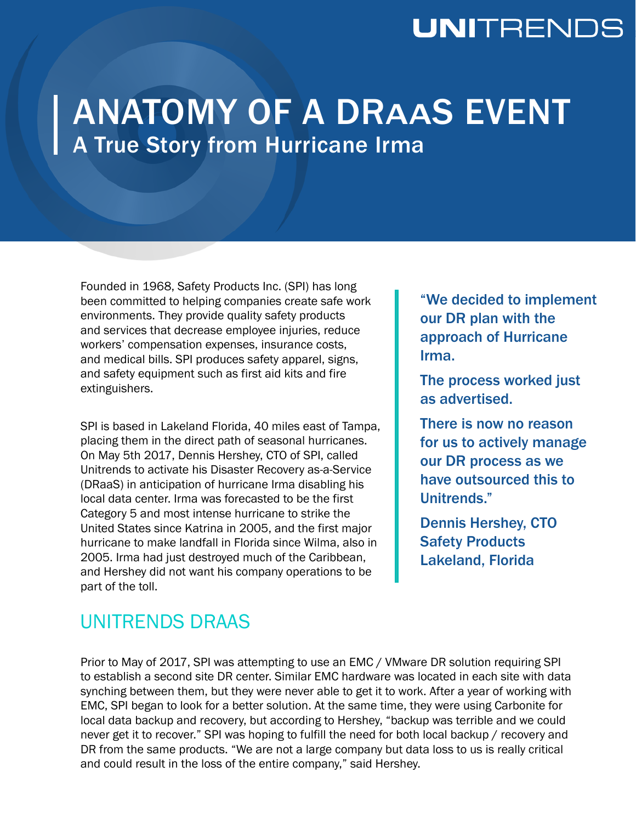## **UNI**TRENDS

# ANATOMY OF A DRAAS EVENT A True Story from Hurricane Irma

Founded in 1968, Safety Products Inc. (SPI) has long been committed to helping companies create safe work environments. They provide quality safety products and services that decrease employee injuries, reduce workers' compensation expenses, insurance costs, and medical bills. SPI produces safety apparel, signs, and safety equipment such as first aid kits and fire extinguishers.

SPI is based in Lakeland Florida, 40 miles east of Tampa, placing them in the direct path of seasonal hurricanes. On May 5th 2017, Dennis Hershey, CTO of SPI, called Unitrends to activate his Disaster Recovery as-a-Service (DRaaS) in anticipation of hurricane Irma disabling his local data center. Irma was forecasted to be the first Category 5 and most intense hurricane to strike the United States since Katrina in 2005, and the first major hurricane to make landfall in Florida since Wilma, also in 2005. Irma had just destroyed much of the Caribbean, and Hershey did not want his company operations to be part of the toll.

"We decided to implement our DR plan with the approach of Hurricane Irma.

The process worked just as advertised.

There is now no reason for us to actively manage our DR process as we have outsourced this to Unitrends."

Dennis Hershey, CTO Safety Products Lakeland, Florida

## UNITRENDS DRAAS

Prior to May of 2017, SPI was attempting to use an EMC / VMware DR solution requiring SPI to establish a second site DR center. Similar EMC hardware was located in each site with data synching between them, but they were never able to get it to work. After a year of working with EMC, SPI began to look for a better solution. At the same time, they were using Carbonite for local data backup and recovery, but according to Hershey, "backup was terrible and we could never get it to recover." SPI was hoping to fulfill the need for both local backup / recovery and DR from the same products. "We are not a large company but data loss to us is really critical and could result in the loss of the entire company," said Hershey.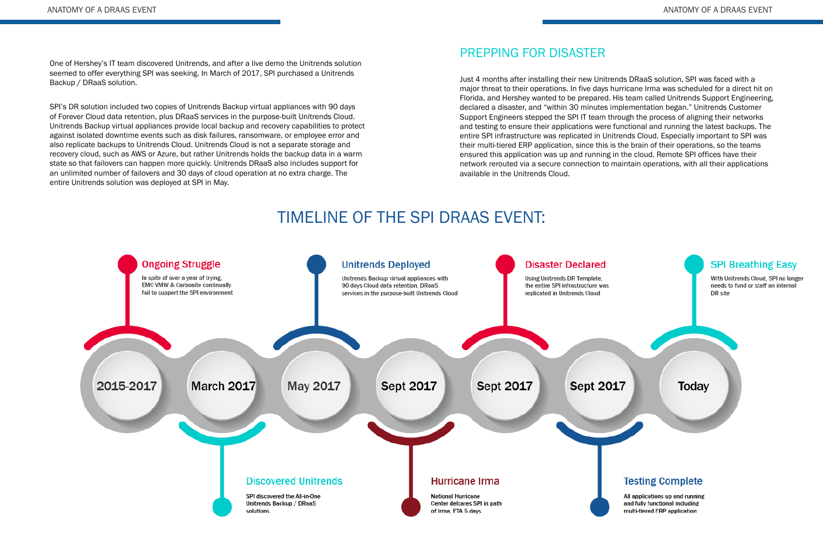One of Hershey's IT team discovered Unitrends, and after a live demo the Unitrends solution seemed to offer everything SPI was seeking. In March of 2017, SPI purchased a Unitrends Backup / DRaaS solution.

SPI's DR solution included two copies of Unitrends Backup virtual appliances with 90 days of Forever Cloud data retention, plus DRaaS services in the purpose-built Unitrends Cloud. Unitrends Backup virtual appliances provide local backup and recovery capabilities to protect against isolated downtime events such as disk failures, ransomware, or employee error and also replicate backups to Unitrends Cloud. Unitrends Cloud is not a separate storage and recovery cloud, such as AWS or Azure, but rather Unitrends holds the backup data in a warm state so that failovers can happen more quickly. Unitrends DRaaS also includes support for an unlimited number of failovers and 30 days of cloud operation at no extra charge. The entire Unitrends solution was deployed at SPI in May.

#### PREPPING FOR DISASTER

Just 4 months after installing their new Unitrends DRaaS solution, SPI was faced with a major threat to their operations. In five days hurricane Irma was scheduled for a direct hit on Florida, and Hershey wanted to be prepared. His team called Unitrends Support Engineering, declared a disaster, and "within 30 minutes implementation began." Unitrends Customer Support Engineers stepped the SPI IT team through the process of aligning their networks and testing to ensure their applications were functional and running the latest backups. The entire SPI infrastructure was replicated in Unitrends Cloud. Especially important to SPI was their multi-tiered ERP application, since this is the brain of their operations, so the teams ensured this application was up and running in the cloud. Remote SPI offices have their network rerouted via a secure connection to maintain operations, with all their applications available in the Unitrends Cloud.

## TIMELINE OF THE SPI DRAAS EVENT: